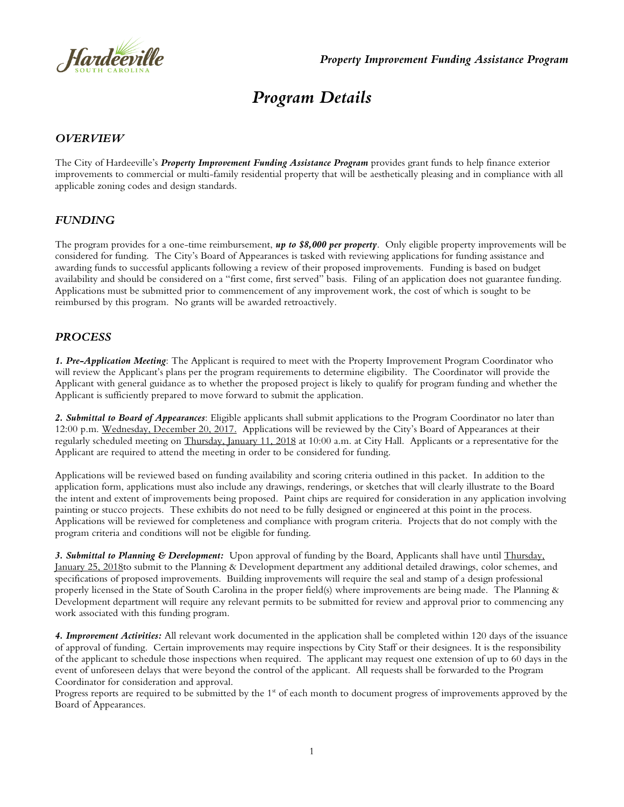

# *Program Details*

### *OVERVIEW*

The City of Hardeeville's *Property Improvement Funding Assistance Program* provides grant funds to help finance exterior improvements to commercial or multi-family residential property that will be aesthetically pleasing and in compliance with all applicable zoning codes and design standards.

#### *FUNDING*

The program provides for a one-time reimbursement, *up to \$8,000 per property*. Only eligible property improvements will be considered for funding. The City's Board of Appearances is tasked with reviewing applications for funding assistance and awarding funds to successful applicants following a review of their proposed improvements. Funding is based on budget availability and should be considered on a "first come, first served" basis. Filing of an application does not guarantee funding. Applications must be submitted prior to commencement of any improvement work, the cost of which is sought to be reimbursed by this program. No grants will be awarded retroactively.

#### *PROCESS*

*1. Pre-Application Meeting*: The Applicant is required to meet with the Property Improvement Program Coordinator who will review the Applicant's plans per the program requirements to determine eligibility. The Coordinator will provide the Applicant with general guidance as to whether the proposed project is likely to qualify for program funding and whether the Applicant is sufficiently prepared to move forward to submit the application.

*2. Submittal to Board of Appearances*: Eligible applicants shall submit applications to the Program Coordinator no later than 12:00 p.m. Wednesday, December 20, 2017. Applications will be reviewed by the City's Board of Appearances at their regularly scheduled meeting on Thursday, January 11, 2018 at 10:00 a.m. at City Hall. Applicants or a representative for the Applicant are required to attend the meeting in order to be considered for funding.

Applications will be reviewed based on funding availability and scoring criteria outlined in this packet. In addition to the application form, applications must also include any drawings, renderings, or sketches that will clearly illustrate to the Board the intent and extent of improvements being proposed. Paint chips are required for consideration in any application involving painting or stucco projects. These exhibits do not need to be fully designed or engineered at this point in the process. Applications will be reviewed for completeness and compliance with program criteria. Projects that do not comply with the program criteria and conditions will not be eligible for funding.

*3. Submittal to Planning & Development:* Upon approval of funding by the Board, Applicants shall have until Thursday, January 25, 2018to submit to the Planning & Development department any additional detailed drawings, color schemes, and specifications of proposed improvements. Building improvements will require the seal and stamp of a design professional properly licensed in the State of South Carolina in the proper field(s) where improvements are being made. The Planning & Development department will require any relevant permits to be submitted for review and approval prior to commencing any work associated with this funding program.

*4. Improvement Activities:* All relevant work documented in the application shall be completed within 120 days of the issuance of approval of funding. Certain improvements may require inspections by City Staff or their designees. It is the responsibility of the applicant to schedule those inspections when required. The applicant may request one extension of up to 60 days in the event of unforeseen delays that were beyond the control of the applicant. All requests shall be forwarded to the Program Coordinator for consideration and approval.

Progress reports are required to be submitted by the  $1<sup>s</sup>$  of each month to document progress of improvements approved by the Board of Appearances.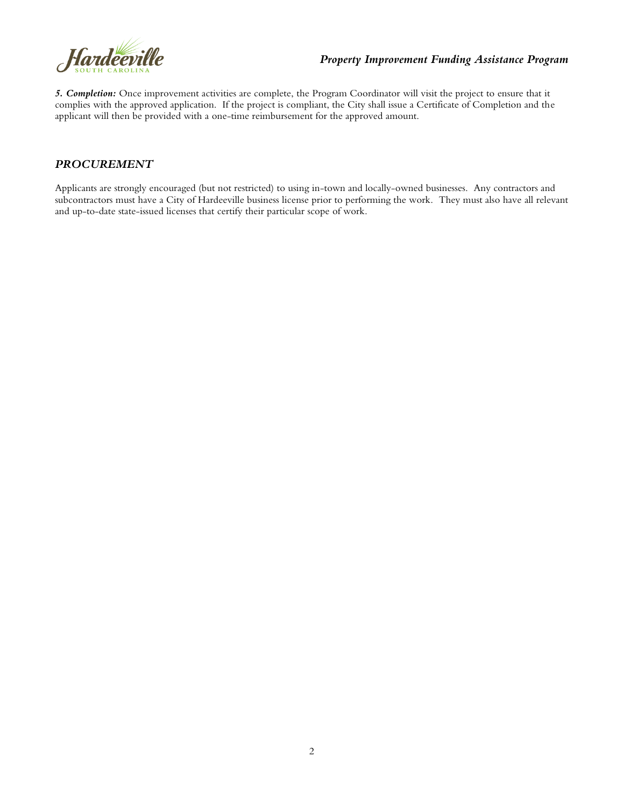

### *Property Improvement Funding Assistance Program*

*5. Completion:* Once improvement activities are complete, the Program Coordinator will visit the project to ensure that it complies with the approved application. If the project is compliant, the City shall issue a Certificate of Completion and the applicant will then be provided with a one-time reimbursement for the approved amount.

### *PROCUREMENT*

Applicants are strongly encouraged (but not restricted) to using in-town and locally-owned businesses. Any contractors and subcontractors must have a City of Hardeeville business license prior to performing the work. They must also have all relevant and up-to-date state-issued licenses that certify their particular scope of work.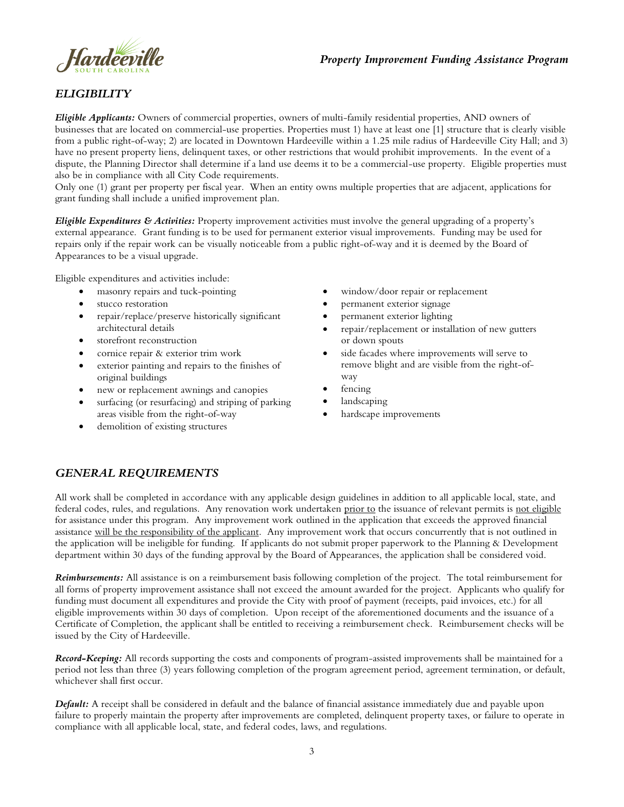

## *Property Improvement Funding Assistance Program*

# *ELIGIBILITY*

*Eligible Applicants:* Owners of commercial properties, owners of multi-family residential properties, AND owners of businesses that are located on commercial-use properties. Properties must 1) have at least one [1] structure that is clearly visible from a public right-of-way; 2) are located in Downtown Hardeeville within a 1.25 mile radius of Hardeeville City Hall; and 3) have no present property liens, delinquent taxes, or other restrictions that would prohibit improvements. In the event of a dispute, the Planning Director shall determine if a land use deems it to be a commercial-use property. Eligible properties must also be in compliance with all City Code requirements.

Only one (1) grant per property per fiscal year. When an entity owns multiple properties that are adjacent, applications for grant funding shall include a unified improvement plan.

*Eligible Expenditures & Activities:* Property improvement activities must involve the general upgrading of a property's external appearance. Grant funding is to be used for permanent exterior visual improvements. Funding may be used for repairs only if the repair work can be visually noticeable from a public right-of-way and it is deemed by the Board of Appearances to be a visual upgrade.

Eligible expenditures and activities include:

- masonry repairs and tuck-pointing
- stucco restoration
- repair/replace/preserve historically significant architectural details
- storefront reconstruction
- cornice repair & exterior trim work
- exterior painting and repairs to the finishes of original buildings
- new or replacement awnings and canopies
- surfacing (or resurfacing) and striping of parking areas visible from the right-of-way
- demolition of existing structures
- window/door repair or replacement
- permanent exterior signage
- permanent exterior lighting
- repair/replacement or installation of new gutters or down spouts
- side facades where improvements will serve to remove blight and are visible from the right-ofway
- fencing
- landscaping
- hardscape improvements

# *GENERAL REQUIREMENTS*

All work shall be completed in accordance with any applicable design guidelines in addition to all applicable local, state, and federal codes, rules, and regulations. Any renovation work undertaken prior to the issuance of relevant permits is not eligible for assistance under this program. Any improvement work outlined in the application that exceeds the approved financial assistance will be the responsibility of the applicant. Any improvement work that occurs concurrently that is not outlined in the application will be ineligible for funding. If applicants do not submit proper paperwork to the Planning & Development department within 30 days of the funding approval by the Board of Appearances, the application shall be considered void.

*Reimbursements:* All assistance is on a reimbursement basis following completion of the project. The total reimbursement for all forms of property improvement assistance shall not exceed the amount awarded for the project. Applicants who qualify for funding must document all expenditures and provide the City with proof of payment (receipts, paid invoices, etc.) for all eligible improvements within 30 days of completion. Upon receipt of the aforementioned documents and the issuance of a Certificate of Completion, the applicant shall be entitled to receiving a reimbursement check. Reimbursement checks will be issued by the City of Hardeeville.

*Record-Keeping:* All records supporting the costs and components of program-assisted improvements shall be maintained for a period not less than three (3) years following completion of the program agreement period, agreement termination, or default, whichever shall first occur.

*Default:* A receipt shall be considered in default and the balance of financial assistance immediately due and payable upon failure to properly maintain the property after improvements are completed, delinquent property taxes, or failure to operate in compliance with all applicable local, state, and federal codes, laws, and regulations.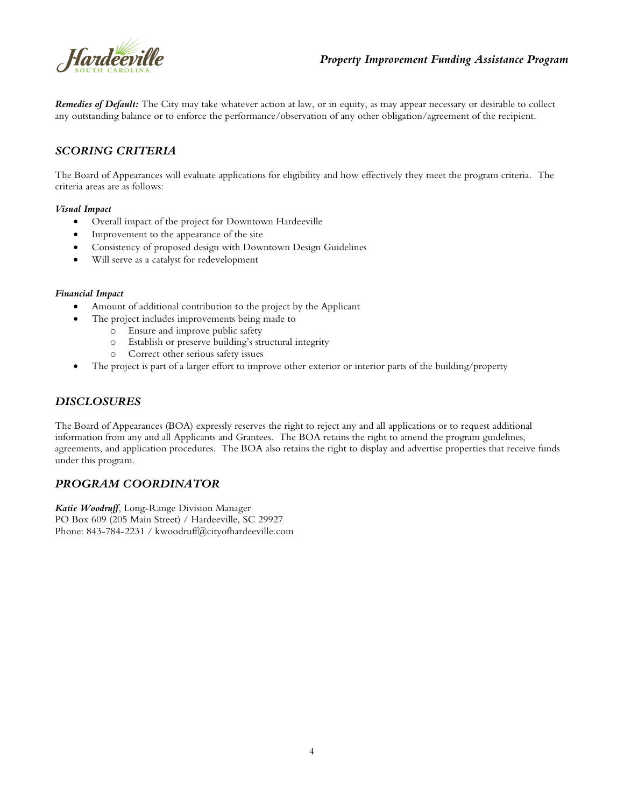

*Remedies of Default:* The City may take whatever action at law, or in equity, as may appear necessary or desirable to collect any outstanding balance or to enforce the performance/observation of any other obligation/agreement of the recipient.

# *SCORING CRITERIA*

The Board of Appearances will evaluate applications for eligibility and how effectively they meet the program criteria. The criteria areas are as follows:

#### *Visual Impact*

- Overall impact of the project for Downtown Hardeeville
- Improvement to the appearance of the site
- Consistency of proposed design with Downtown Design Guidelines
- Will serve as a catalyst for redevelopment

#### *Financial Impact*

- Amount of additional contribution to the project by the Applicant
- The project includes improvements being made to
	- o Ensure and improve public safety
		- o Establish or preserve building's structural integrity
		- o Correct other serious safety issues
- The project is part of a larger effort to improve other exterior or interior parts of the building/property

# *DISCLOSURES*

The Board of Appearances (BOA) expressly reserves the right to reject any and all applications or to request additional information from any and all Applicants and Grantees. The BOA retains the right to amend the program guidelines, agreements, and application procedures. The BOA also retains the right to display and advertise properties that receive funds under this program.

#### *PROGRAM COORDINATOR*

*Katie Woodruff*, Long-Range Division Manager PO Box 609 (205 Main Street) / Hardeeville, SC 29927 Phone: 843-784-2231 / kwoodruff@cityofhardeeville.com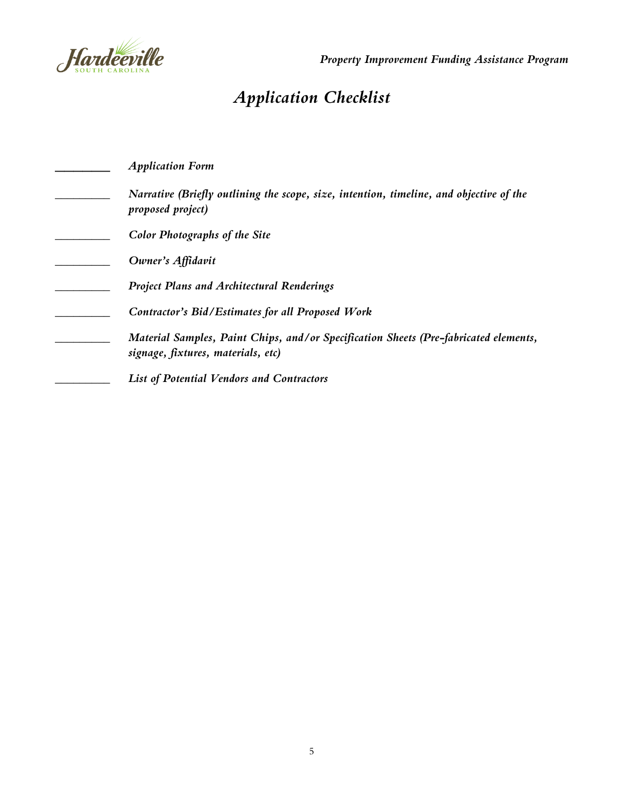

# *Application Checklist*

| <b>Application Form</b>                                                                                                    |
|----------------------------------------------------------------------------------------------------------------------------|
| Narrative (Briefly outlining the scope, size, intention, timeline, and objective of the<br>proposed project)               |
| <b>Color Photographs of the Site</b>                                                                                       |
| Owner's Affidavit                                                                                                          |
| <b>Project Plans and Architectural Renderings</b>                                                                          |
| Contractor's Bid/Estimates for all Proposed Work                                                                           |
| Material Samples, Paint Chips, and/or Specification Sheets (Pre-fabricated elements,<br>signage, fixtures, materials, etc) |
| <b>List of Potential Vendors and Contractors</b>                                                                           |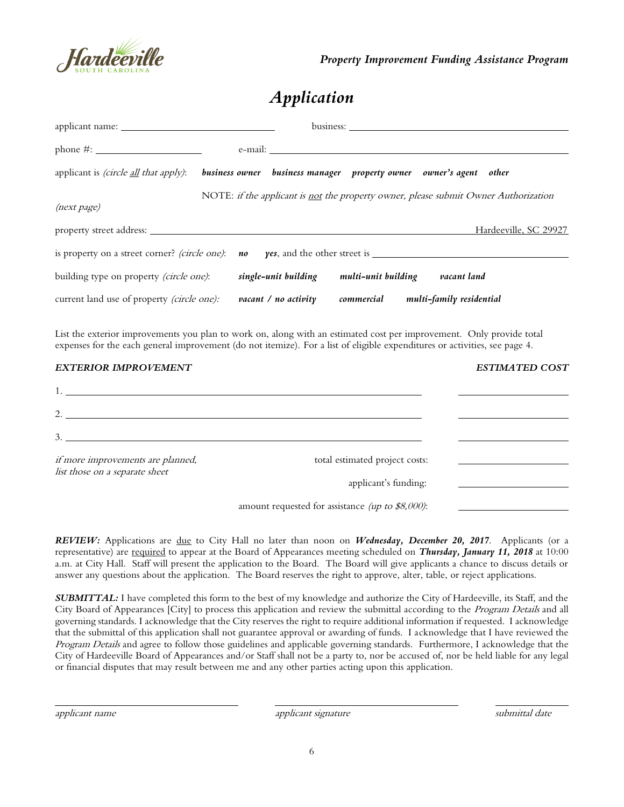

# *Application*

|                                                                                                                                                    |  | e-mail:              |                     |                                                                                     |  |  |  |
|----------------------------------------------------------------------------------------------------------------------------------------------------|--|----------------------|---------------------|-------------------------------------------------------------------------------------|--|--|--|
| applicant is <i>(circle <u>all</u> that apply)</i> :                                                                                               |  |                      |                     | business owner business manager property owner owner's agent other                  |  |  |  |
| (next page)                                                                                                                                        |  |                      |                     | NOTE: if the applicant is not the property owner, please submit Owner Authorization |  |  |  |
|                                                                                                                                                    |  |                      |                     | Hardeeville, SC 29927                                                               |  |  |  |
| is property on a street corner? (circle one): <b>no yes</b> , and the other street is $\frac{1}{\sqrt{1-\frac{1}{n}}}\left\{1-\frac{1}{n}\right\}$ |  |                      |                     |                                                                                     |  |  |  |
| building type on property <i>(circle one)</i> :                                                                                                    |  | single-unit building | multi-unit building | vacant land                                                                         |  |  |  |
| current land use of property <i>(circle one)</i> :                                                                                                 |  | vacant / no activity | commercial          | multi-family residential                                                            |  |  |  |

List the exterior improvements you plan to work on, along with an estimated cost per improvement. Only provide total expenses for the each general improvement (do not itemize). For a list of eligible expenditures or activities, see page 4.

| <b>EXTERIOR IMPROVEMENT</b>                                         |                                                    | <b>ESTIMATED COST</b>                                             |
|---------------------------------------------------------------------|----------------------------------------------------|-------------------------------------------------------------------|
|                                                                     |                                                    |                                                                   |
| 2.                                                                  |                                                    |                                                                   |
| 3.                                                                  |                                                    |                                                                   |
| if more improvements are planned,<br>list those on a separate sheet | total estimated project costs:                     | <u> 1989 - Andrea Station Books, amerikansk politik (d. 1989)</u> |
|                                                                     | applicant's funding:                               |                                                                   |
|                                                                     | amount requested for assistance (up to $$8,000$ ): |                                                                   |

*REVIEW:* Applications are due to City Hall no later than noon on *Wednesday, December 20, 2017*. Applicants (or a representative) are required to appear at the Board of Appearances meeting scheduled on *Thursday, January 11, 2018* at 10:00 a.m. at City Hall. Staff will present the application to the Board. The Board will give applicants a chance to discuss details or answer any questions about the application. The Board reserves the right to approve, alter, table, or reject applications.

*SUBMITTAL:* I have completed this form to the best of my knowledge and authorize the City of Hardeeville, its Staff, and the City Board of Appearances [City] to process this application and review the submittal according to the Program Details and all governing standards. I acknowledge that the City reserves the right to require additional information if requested. I acknowledge that the submittal of this application shall not guarantee approval or awarding of funds. I acknowledge that I have reviewed the Program Details and agree to follow those guidelines and applicable governing standards. Furthermore, I acknowledge that the City of Hardeeville Board of Appearances and/or Staff shall not be a party to, nor be accused of, nor be held liable for any legal or financial disputes that may result between me and any other parties acting upon this application.

applicant name applicant signature submittal date